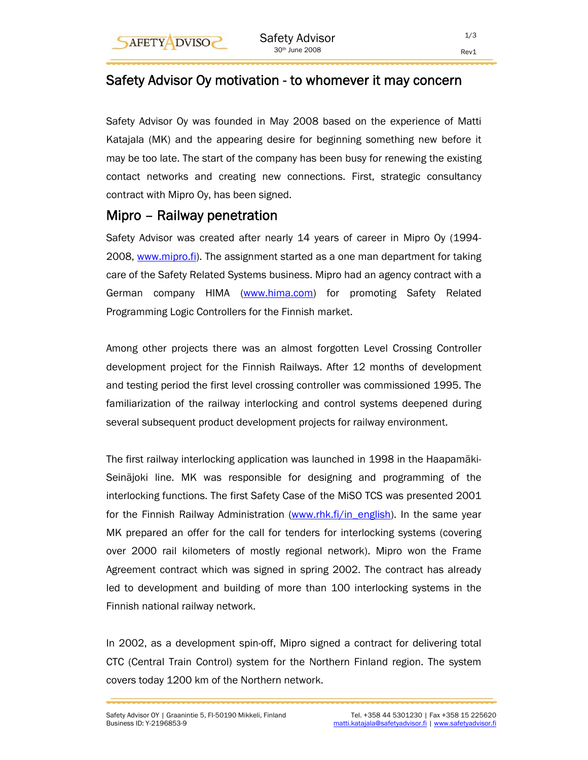# Safety Advisor Oy motivation - to whomever it may concern

Safety Advisor Oy was founded in May 2008 based on the experience of Matti Katajala (MK) and the appearing desire for beginning something new before it may be too late. The start of the company has been busy for renewing the existing contact networks and creating new connections. First, strategic consultancy contract with Mipro Oy, has been signed.

## Mipro – Railway penetration

Safety Advisor was created after nearly 14 years of career in Mipro Oy (1994- 2008, www.mipro.fi). The assignment started as a one man department for taking care of the Safety Related Systems business. Mipro had an agency contract with a German company HIMA (www.hima.com) for promoting Safety Related Programming Logic Controllers for the Finnish market.

Among other projects there was an almost forgotten Level Crossing Controller development project for the Finnish Railways. After 12 months of development and testing period the first level crossing controller was commissioned 1995. The familiarization of the railway interlocking and control systems deepened during several subsequent product development projects for railway environment.

The first railway interlocking application was launched in 1998 in the Haapamäki-Seinäjoki line. MK was responsible for designing and programming of the interlocking functions. The first Safety Case of the MiSO TCS was presented 2001 for the Finnish Railway Administration (www.rhk.fi/in english). In the same year MK prepared an offer for the call for tenders for interlocking systems (covering over 2000 rail kilometers of mostly regional network). Mipro won the Frame Agreement contract which was signed in spring 2002. The contract has already led to development and building of more than 100 interlocking systems in the Finnish national railway network.

In 2002, as a development spin-off, Mipro signed a contract for delivering total CTC (Central Train Control) system for the Northern Finland region. The system covers today 1200 km of the Northern network.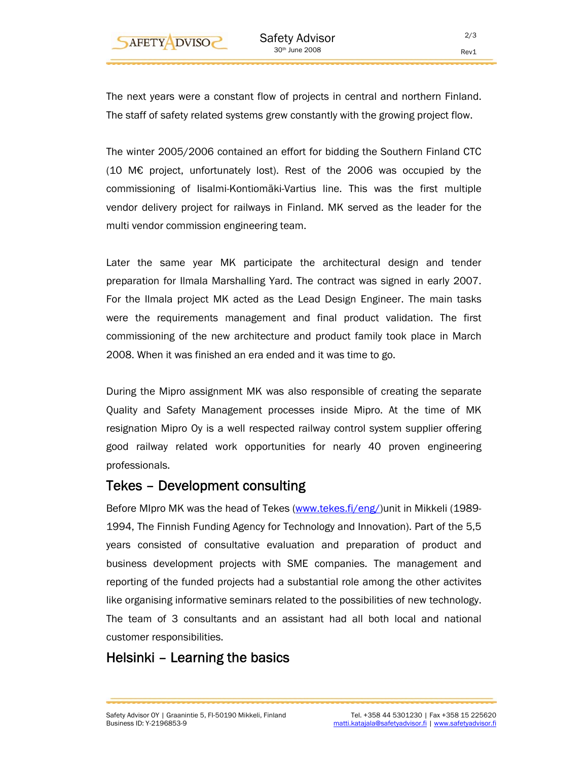

The next years were a constant flow of projects in central and northern Finland. The staff of safety related systems grew constantly with the growing project flow.

The winter 2005/2006 contained an effort for bidding the Southern Finland CTC (10 M€ project, unfortunately lost). Rest of the 2006 was occupied by the commissioning of Iisalmi-Kontiomäki-Vartius line. This was the first multiple vendor delivery project for railways in Finland. MK served as the leader for the multi vendor commission engineering team.

Later the same year MK participate the architectural design and tender preparation for Ilmala Marshalling Yard. The contract was signed in early 2007. For the Ilmala project MK acted as the Lead Design Engineer. The main tasks were the requirements management and final product validation. The first commissioning of the new architecture and product family took place in March 2008. When it was finished an era ended and it was time to go.

During the Mipro assignment MK was also responsible of creating the separate Quality and Safety Management processes inside Mipro. At the time of MK resignation Mipro Oy is a well respected railway control system supplier offering good railway related work opportunities for nearly 40 proven engineering professionals.

## Tekes – Development consulting

Before MIpro MK was the head of Tekes (www.tekes.fi/eng/)unit in Mikkeli (1989- 1994, The Finnish Funding Agency for Technology and Innovation). Part of the 5,5 years consisted of consultative evaluation and preparation of product and business development projects with SME companies. The management and reporting of the funded projects had a substantial role among the other activites like organising informative seminars related to the possibilities of new technology. The team of 3 consultants and an assistant had all both local and national customer responsibilities.

# Helsinki – Learning the basics